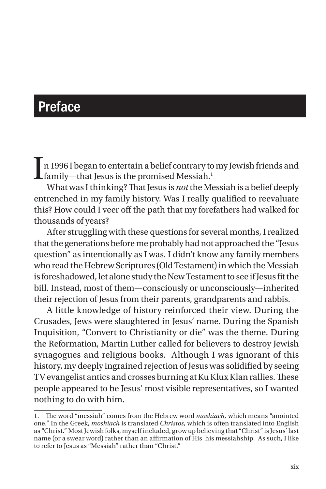## Preface

In 1996 I began to entertain a belief contrary to my Jewish friends and<br>family—that Jesus is the promised Messiah.<sup>1</sup>

What was I thinking? That Jesus is *not* the Messiah is a belief deeply entrenched in my family history. Was I really qualified to reevaluate this? How could I veer off the path that my forefathers had walked for thousands of years?

After struggling with these questions for several months, I realized that the generations before me probably had not approached the "Jesus question" as intentionally as I was. I didn't know any family members who read the Hebrew Scriptures (Old Testament) in which the Messiah is foreshadowed, let alone study the New Testament to see if Jesus fit the bill. Instead, most of them—consciously or unconsciously—inherited their rejection of Jesus from their parents, grandparents and rabbis.

A little knowledge of history reinforced their view. During the Crusades, Jews were slaughtered in Jesus' name. During the Spanish Inquisition, "Convert to Christianity or die" was the theme. During the Reformation, Martin Luther called for believers to destroy Jewish synagogues and religious books. Although I was ignorant of this history, my deeply ingrained rejection of Jesus was solidified by seeing TV evangelist antics and crosses burning at Ku Klux Klan rallies. These people appeared to be Jesus' most visible representatives, so I wanted nothing to do with him.

<sup>1.</sup> The word "messiah" comes from the Hebrew word *moshiach,* which means "anointed one." In the Greek, *moshiach* is translated *Christos,* which is often translated into English as "Christ." Most Jewish folks, myself included, grow up believing that "Christ" is Jesus' last name (or a swear word) rather than an affirmation of His his messiahship. As such, I like to refer to Jesus as "Messiah" rather than "Christ."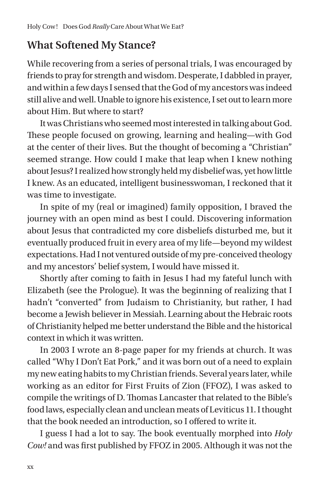## **What Softened My Stance?**

While recovering from a series of personal trials, I was encouraged by friends to pray for strength and wisdom. Desperate, I dabbled in prayer, and within a few days I sensed that the God of my ancestors was indeed still alive and well. Unable to ignore his existence, I set out to learn more about Him. But where to start?

It was Christians who seemed most interested in talking about God. These people focused on growing, learning and healing—with God at the center of their lives. But the thought of becoming a "Christian" seemed strange. How could I make that leap when I knew nothing about Jesus? I realized how strongly held my disbelief was, yet how little I knew. As an educated, intelligent businesswoman, I reckoned that it was time to investigate.

In spite of my (real or imagined) family opposition, I braved the journey with an open mind as best I could. Discovering information about Jesus that contradicted my core disbeliefs disturbed me, but it eventually produced fruit in every area of my life—beyond my wildest expectations. Had I not ventured outside of my pre-conceived theology and my ancestors' belief system, I would have missed it.

Shortly after coming to faith in Jesus I had my fateful lunch with Elizabeth (see the Prologue). It was the beginning of realizing that I hadn't "converted" from Judaism to Christianity, but rather, I had become a Jewish believer in Messiah. Learning about the Hebraic roots of Christianity helped me better understand the Bible and the historical context in which it was written.

In 2003 I wrote an 8-page paper for my friends at church. It was called "Why I Don't Eat Pork," and it was born out of a need to explain my new eating habits to my Christian friends. Several years later, while working as an editor for First Fruits of Zion (FFOZ), I was asked to compile the writings of D. Thomas Lancaster that related to the Bible's food laws, especially clean and unclean meats of Leviticus 11. I thought that the book needed an introduction, so I offered to write it.

I guess I had a lot to say. The book eventually morphed into *Holy Cow!* and was first published by FFOZ in 2005. Although it was not the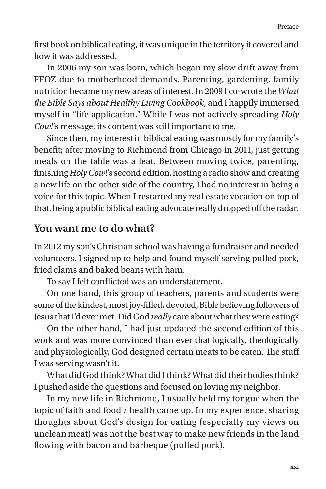Preface

first book on biblical eating, it was unique in the territory it covered and how it was addressed.

In 2006 my son was born, which began my slow drift away from FFOZ due to motherhood demands. Parenting, gardening, family nutrition became my new areas of interest. In 2009 I co-wrote the *What the Bible Says about Healthy Living Cookbook*, and I happily immersed myself in "life application." While I was not actively spreading *Holy Cow!*'s message, its content was still important to me.

Since then, my interest in biblical eating was mostly for my family's benefit; after moving to Richmond from Chicago in 2011, just getting meals on the table was a feat. Between moving twice, parenting, finishing *Holy Cow*!'s second edition, hosting a radio show and creating a new life on the other side of the country, I had no interest in being a voice for this topic. When I restarted my real estate vocation on top of that, being a public biblical eating advocate really dropped off the radar.

## **You want me to do what?**

In 2012 my son's Christian school was having a fundraiser and needed volunteers. I signed up to help and found myself serving pulled pork, fried clams and baked beans with ham.

To say I felt conflicted was an understatement.

On one hand, this group of teachers, parents and students were some of the kindest, most joy-filled, devoted, Bible believing followers of Jesus that I'd ever met. Did God *really* care about what they were eating?

On the other hand, I had just updated the second edition of this work and was more convinced than ever that logically, theologically and physiologically, God designed certain meats to be eaten. The stuff I was serving wasn't it.

What did God think? What did I think? What did their bodies think? I pushed aside the questions and focused on loving my neighbor.

In my new life in Richmond, I usually held my tongue when the topic of faith and food / health came up. In my experience, sharing thoughts about God's design for eating (especially my views on unclean meat) was not the best way to make new friends in the land flowing with bacon and barbeque (pulled pork).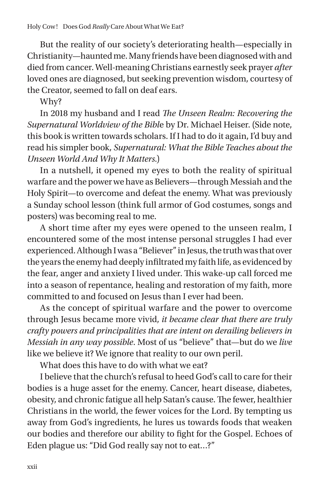But the reality of our society's deteriorating health—especially in Christianity—haunted me. Many friends have been diagnosed with and died from cancer. Well-meaning Christians earnestly seek prayer *after* loved ones are diagnosed, but seeking prevention wisdom, courtesy of the Creator, seemed to fall on deaf ears.

Why?

In 2018 my husband and I read *The Unseen Realm: Recovering the Supernatural Worldview of the Bibl*e by Dr. Michael Heiser. (Side note, this book is written towards scholars. If I had to do it again, I'd buy and read his simpler book, *Supernatural: What the Bible Teaches about the Unseen World And Why It Matters.*)

In a nutshell, it opened my eyes to both the reality of spiritual warfare and the power we have as Believers—through Messiah and the Holy Spirit—to overcome and defeat the enemy. What was previously a Sunday school lesson (think full armor of God costumes, songs and posters) was becoming real to me.

A short time after my eyes were opened to the unseen realm, I encountered some of the most intense personal struggles I had ever experienced. Although I was a "Believer" in Jesus, the truth was that over the years the enemy had deeply infiltrated my faith life, as evidenced by the fear, anger and anxiety I lived under. This wake-up call forced me into a season of repentance, healing and restoration of my faith, more committed to and focused on Jesus than I ever had been.

As the concept of spiritual warfare and the power to overcome through Jesus became more vivid, *it became clear that there are truly crafty powers and principalities that are intent on derailing believers in Messiah in any way possible*. Most of us "believe" that—but do we *live* like we believe it? We ignore that reality to our own peril.

What does this have to do with what we eat?

I believe that the church's refusal to heed God's call to care for their bodies is a huge asset for the enemy. Cancer, heart disease, diabetes, obesity, and chronic fatigue all help Satan's cause. The fewer, healthier Christians in the world, the fewer voices for the Lord. By tempting us away from God's ingredients, he lures us towards foods that weaken our bodies and therefore our ability to fight for the Gospel. Echoes of Eden plague us: "Did God really say not to eat…?"